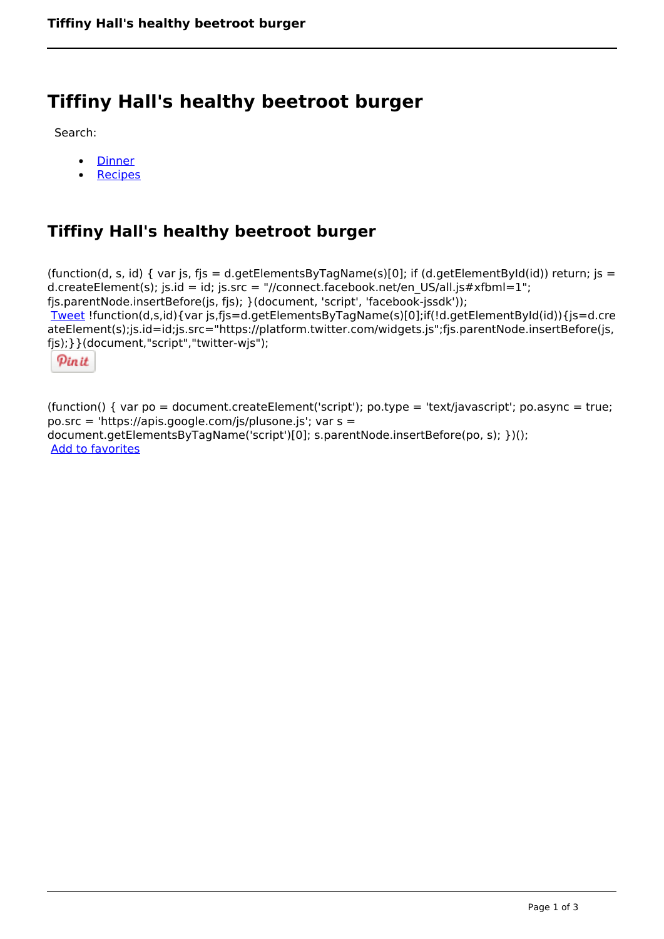## **Tiffiny Hall's healthy beetroot burger**

Search:

- **[Dinner](https://www.naturalhealthmag.com.au/nourish/dinner-ideas)**  $\bullet$
- **[Recipes](https://www.naturalhealthmag.com.au/nourish/recipes)**

## **Tiffiny Hall's healthy beetroot burger**

(function(d, s, id) { var js, fjs = d.getElementsByTagName(s)[0]; if (d.getElementById(id)) return; js = d.createElement(s); js.id = id; js.src = "//connect.facebook.net/en\_US/all.js#xfbml=1"; fjs.parentNode.insertBefore(js, fjs); }(document, 'script', 'facebook-jssdk')); [Tweet](https://twitter.com/share) !function(d,s,id){var js,fjs=d.getElementsByTagName(s)[0];if(!d.getElementById(id)){js=d.cre ateElement(s);js.id=id;js.src="https://platform.twitter.com/widgets.js";fjs.parentNode.insertBefore(js, fjs);}}(document,"script","twitter-wjs");

Pinit

(function() { var po = document.createElement('script'); po.type = 'text/javascript'; po.async = true; po.src = 'https://apis.google.com/js/plusone.js'; var s = document.getElementsByTagName('script')[0]; s.parentNode.insertBefore(po, s); })(); Add to favorites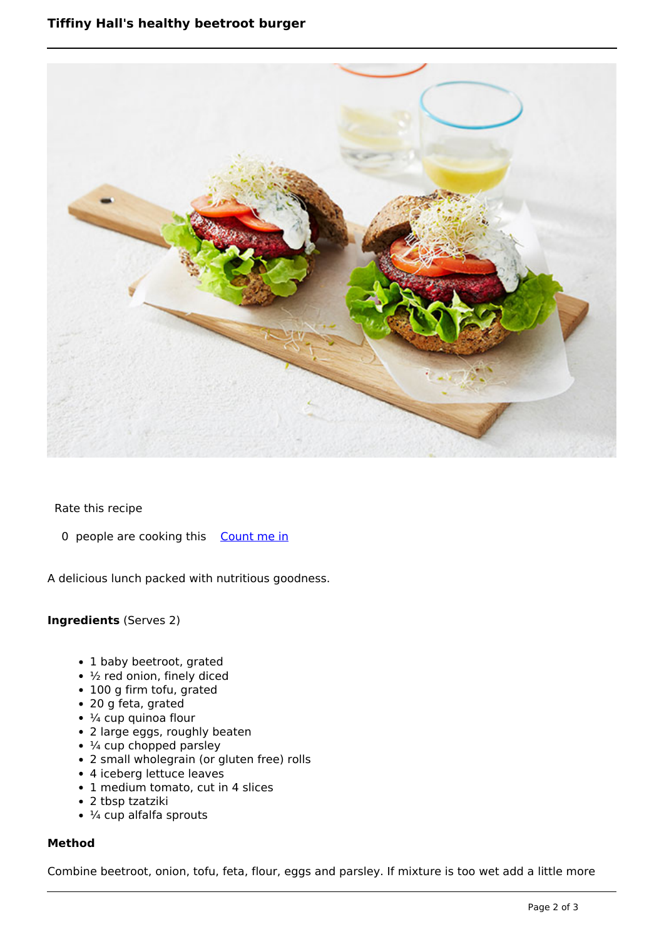

Rate this recipe

0 people are cooking this [Count me in](https://www.naturalhealthmag.com.au/flag/flag/favorites/2545?destination=printpdf%2F2545&token=c65fccbeb7e10e4d29e330d79511f0bb)

A delicious lunch packed with nutritious goodness.

## **Ingredients** (Serves 2)

- 1 baby beetroot, grated
- ½ red onion, finely diced
- 100 g firm tofu, grated
- 20 g feta, grated
- $\cdot$  ¼ cup quinoa flour
- 2 large eggs, roughly beaten
- ¼ cup chopped parsley
- 2 small wholegrain (or gluten free) rolls
- 4 iceberg lettuce leaves
- 1 medium tomato, cut in 4 slices
- 2 tbsp tzatziki
- $\cdot$  ¼ cup alfalfa sprouts

## **Method**

Combine beetroot, onion, tofu, feta, flour, eggs and parsley. If mixture is too wet add a little more